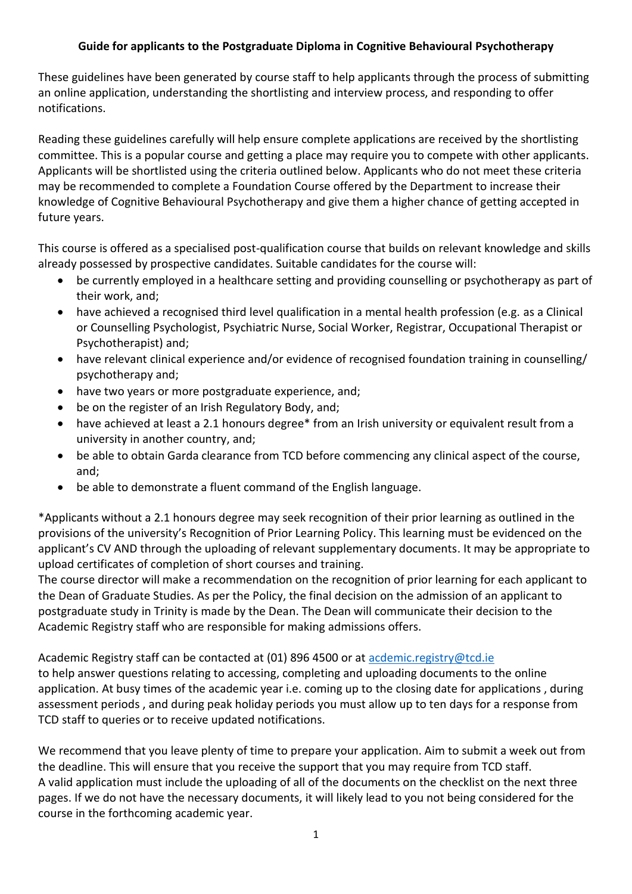## **Guide for applicants to the Postgraduate Diploma in Cognitive Behavioural Psychotherapy**

These guidelines have been generated by course staff to help applicants through the process of submitting an online application, understanding the shortlisting and interview process, and responding to offer notifications.

Reading these guidelines carefully will help ensure complete applications are received by the shortlisting committee. This is a popular course and getting a place may require you to compete with other applicants. Applicants will be shortlisted using the criteria outlined below. Applicants who do not meet these criteria may be recommended to complete a Foundation Course offered by the Department to increase their knowledge of Cognitive Behavioural Psychotherapy and give them a higher chance of getting accepted in future years.

This course is offered as a specialised post-qualification course that builds on relevant knowledge and skills already possessed by prospective candidates. Suitable candidates for the course will:

- be currently employed in a healthcare setting and providing counselling or psychotherapy as part of their work, and;
- have achieved a recognised third level qualification in a mental health profession (e.g. as a Clinical or Counselling Psychologist, Psychiatric Nurse, Social Worker, Registrar, Occupational Therapist or Psychotherapist) and;
- have relevant clinical experience and/or evidence of recognised foundation training in counselling/ psychotherapy and;
- have two years or more postgraduate experience, and;
- be on the register of an Irish Regulatory Body, and;
- have achieved at least a 2.1 honours degree\* from an Irish university or equivalent result from a university in another country, and;
- be able to obtain Garda clearance from TCD before commencing any clinical aspect of the course, and;
- be able to demonstrate a fluent command of the English language.

\*Applicants without a 2.1 honours degree may seek recognition of their prior learning as outlined in the provisions of the university's Recognition of Prior Learning Policy. This learning must be evidenced on the applicant's CV AND through the uploading of relevant supplementary documents. It may be appropriate to upload certificates of completion of short courses and training.

The course director will make a recommendation on the recognition of prior learning for each applicant to the Dean of Graduate Studies. As per the Policy, the final decision on the admission of an applicant to postgraduate study in Trinity is made by the Dean. The Dean will communicate their decision to the Academic Registry staff who are responsible for making admissions offers.

Academic Registry staff can be contacted at (01) 896 4500 or at [acdemic.registry@tcd.ie](mailto:acdemic.registry@tcd.ie) to help answer questions relating to accessing, completing and uploading documents to the online application. At busy times of the academic year i.e. coming up to the closing date for applications , during assessment periods , and during peak holiday periods you must allow up to ten days for a response from TCD staff to queries or to receive updated notifications.

We recommend that you leave plenty of time to prepare your application. Aim to submit a week out from the deadline. This will ensure that you receive the support that you may require from TCD staff. A valid application must include the uploading of all of the documents on the checklist on the next three pages. If we do not have the necessary documents, it will likely lead to you not being considered for the course in the forthcoming academic year.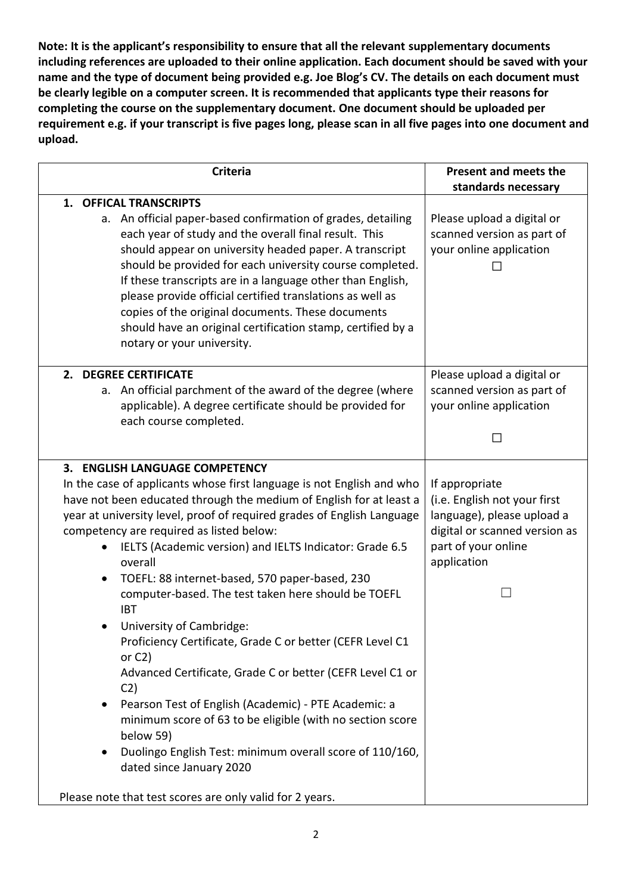**Note: It is the applicant's responsibility to ensure that all the relevant supplementary documents including references are uploaded to their online application. Each document should be saved with your name and the type of document being provided e.g. Joe Blog's CV. The details on each document must be clearly legible on a computer screen. It is recommended that applicants type their reasons for completing the course on the supplementary document. One document should be uploaded per requirement e.g. if your transcript is five pages long, please scan in all five pages into one document and upload.** 

| <b>Criteria</b>                                                                                                                                                                                                                                                                                                                                                                                                                                                                                                                                                                                                                                                                                                                                                                                                                                                                                                               | Present and meets the<br>standards necessary                                                                                                        |
|-------------------------------------------------------------------------------------------------------------------------------------------------------------------------------------------------------------------------------------------------------------------------------------------------------------------------------------------------------------------------------------------------------------------------------------------------------------------------------------------------------------------------------------------------------------------------------------------------------------------------------------------------------------------------------------------------------------------------------------------------------------------------------------------------------------------------------------------------------------------------------------------------------------------------------|-----------------------------------------------------------------------------------------------------------------------------------------------------|
| 1. OFFICAL TRANSCRIPTS<br>a. An official paper-based confirmation of grades, detailing<br>each year of study and the overall final result. This<br>should appear on university headed paper. A transcript<br>should be provided for each university course completed.<br>If these transcripts are in a language other than English,<br>please provide official certified translations as well as<br>copies of the original documents. These documents<br>should have an original certification stamp, certified by a<br>notary or your university.                                                                                                                                                                                                                                                                                                                                                                            | Please upload a digital or<br>scanned version as part of<br>your online application                                                                 |
| 2. DEGREE CERTIFICATE<br>a. An official parchment of the award of the degree (where<br>applicable). A degree certificate should be provided for<br>each course completed.                                                                                                                                                                                                                                                                                                                                                                                                                                                                                                                                                                                                                                                                                                                                                     | Please upload a digital or<br>scanned version as part of<br>your online application                                                                 |
| 3. ENGLISH LANGUAGE COMPETENCY<br>In the case of applicants whose first language is not English and who<br>have not been educated through the medium of English for at least a<br>year at university level, proof of required grades of English Language<br>competency are required as listed below:<br>IELTS (Academic version) and IELTS Indicator: Grade 6.5<br>overall<br>TOEFL: 88 internet-based, 570 paper-based, 230<br>computer-based. The test taken here should be TOEFL<br><b>IBT</b><br>University of Cambridge:<br>Proficiency Certificate, Grade C or better (CEFR Level C1<br>or $C2$ )<br>Advanced Certificate, Grade C or better (CEFR Level C1 or<br>C <sub>2</sub><br>Pearson Test of English (Academic) - PTE Academic: a<br>$\bullet$<br>minimum score of 63 to be eligible (with no section score<br>below 59)<br>Duolingo English Test: minimum overall score of 110/160,<br>dated since January 2020 | If appropriate<br>(i.e. English not your first<br>language), please upload a<br>digital or scanned version as<br>part of your online<br>application |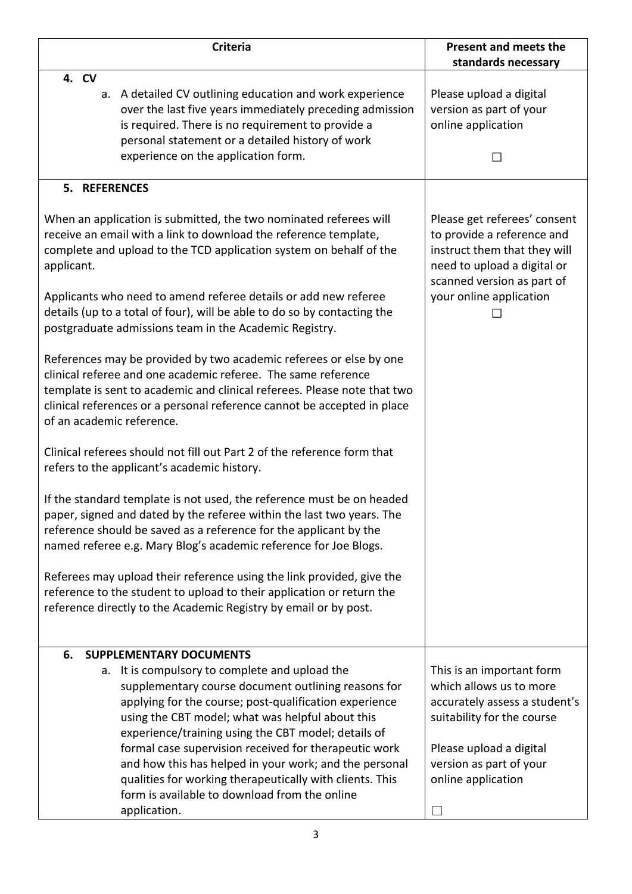| <b>Criteria</b>                                                                                                                                                                                                                                                                                                         | <b>Present and meets the</b><br>standards necessary                                                                                                                                |
|-------------------------------------------------------------------------------------------------------------------------------------------------------------------------------------------------------------------------------------------------------------------------------------------------------------------------|------------------------------------------------------------------------------------------------------------------------------------------------------------------------------------|
| 4. CV<br>a. A detailed CV outlining education and work experience<br>over the last five years immediately preceding admission<br>is required. There is no requirement to provide a<br>personal statement or a detailed history of work<br>experience on the application form.                                           | Please upload a digital<br>version as part of your<br>online application                                                                                                           |
| 5. REFERENCES                                                                                                                                                                                                                                                                                                           |                                                                                                                                                                                    |
| When an application is submitted, the two nominated referees will<br>receive an email with a link to download the reference template,<br>complete and upload to the TCD application system on behalf of the<br>applicant.<br>Applicants who need to amend referee details or add new referee                            | Please get referees' consent<br>to provide a reference and<br>instruct them that they will<br>need to upload a digital or<br>scanned version as part of<br>your online application |
| details (up to a total of four), will be able to do so by contacting the<br>postgraduate admissions team in the Academic Registry.                                                                                                                                                                                      |                                                                                                                                                                                    |
| References may be provided by two academic referees or else by one<br>clinical referee and one academic referee. The same reference<br>template is sent to academic and clinical referees. Please note that two<br>clinical references or a personal reference cannot be accepted in place<br>of an academic reference. |                                                                                                                                                                                    |
| Clinical referees should not fill out Part 2 of the reference form that<br>refers to the applicant's academic history.                                                                                                                                                                                                  |                                                                                                                                                                                    |
| If the standard template is not used, the reference must be on headed<br>paper, signed and dated by the referee within the last two years. The<br>reference should be saved as a reference for the applicant by the<br>named referee e.g. Mary Blog's academic reference for Joe Blogs.                                 |                                                                                                                                                                                    |
| Referees may upload their reference using the link provided, give the<br>reference to the student to upload to their application or return the<br>reference directly to the Academic Registry by email or by post.                                                                                                      |                                                                                                                                                                                    |
| 6.<br><b>SUPPLEMENTARY DOCUMENTS</b>                                                                                                                                                                                                                                                                                    |                                                                                                                                                                                    |
| a. It is compulsory to complete and upload the<br>supplementary course document outlining reasons for<br>applying for the course; post-qualification experience<br>using the CBT model; what was helpful about this<br>experience/training using the CBT model; details of                                              | This is an important form<br>which allows us to more<br>accurately assess a student's<br>suitability for the course                                                                |
| formal case supervision received for therapeutic work<br>and how this has helped in your work; and the personal<br>qualities for working therapeutically with clients. This<br>form is available to download from the online<br>application.                                                                            | Please upload a digital<br>version as part of your<br>online application                                                                                                           |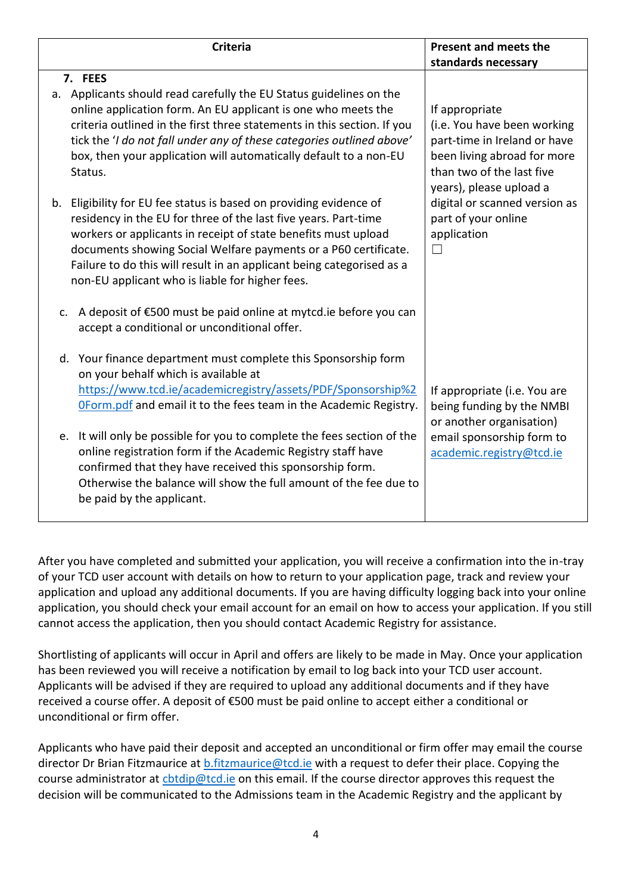| <b>Criteria</b>                                                                                                                                                                                                                                                                                                                                                                                           | Present and meets the<br>standards necessary                                                                                                                                                                                                     |
|-----------------------------------------------------------------------------------------------------------------------------------------------------------------------------------------------------------------------------------------------------------------------------------------------------------------------------------------------------------------------------------------------------------|--------------------------------------------------------------------------------------------------------------------------------------------------------------------------------------------------------------------------------------------------|
| 7. FEES                                                                                                                                                                                                                                                                                                                                                                                                   |                                                                                                                                                                                                                                                  |
| a. Applicants should read carefully the EU Status guidelines on the<br>online application form. An EU applicant is one who meets the<br>criteria outlined in the first three statements in this section. If you<br>tick the 'I do not fall under any of these categories outlined above'<br>box, then your application will automatically default to a non-EU<br>Status.                                  | If appropriate<br>(i.e. You have been working<br>part-time in Ireland or have<br>been living abroad for more<br>than two of the last five<br>years), please upload a<br>digital or scanned version as<br>part of your online<br>application<br>П |
| Eligibility for EU fee status is based on providing evidence of<br>b.<br>residency in the EU for three of the last five years. Part-time<br>workers or applicants in receipt of state benefits must upload<br>documents showing Social Welfare payments or a P60 certificate.<br>Failure to do this will result in an applicant being categorised as a<br>non-EU applicant who is liable for higher fees. |                                                                                                                                                                                                                                                  |
| A deposit of €500 must be paid online at mytcd.ie before you can<br>$C_{\star}$<br>accept a conditional or unconditional offer.                                                                                                                                                                                                                                                                           |                                                                                                                                                                                                                                                  |
| d. Your finance department must complete this Sponsorship form<br>on your behalf which is available at<br>https://www.tcd.ie/academicregistry/assets/PDF/Sponsorship%2<br>OForm.pdf and email it to the fees team in the Academic Registry.                                                                                                                                                               | If appropriate (i.e. You are<br>being funding by the NMBI<br>or another organisation)<br>email sponsorship form to<br>academic.registry@tcd.ie                                                                                                   |
| e. It will only be possible for you to complete the fees section of the<br>online registration form if the Academic Registry staff have<br>confirmed that they have received this sponsorship form.<br>Otherwise the balance will show the full amount of the fee due to<br>be paid by the applicant.                                                                                                     |                                                                                                                                                                                                                                                  |

After you have completed and submitted your application, you will receive a confirmation into the in-tray of your TCD user account with details on how to return to your application page, track and review your application and upload any additional documents. If you are having difficulty logging back into your online application, you should check your email account for an email on how to access your application. If you still cannot access the application, then you should contact Academic Registry for assistance.

Shortlisting of applicants will occur in April and offers are likely to be made in May. Once your application has been reviewed you will receive a notification by email to log back into your TCD user account. Applicants will be advised if they are required to upload any additional documents and if they have received a course offer. A deposit of €500 must be paid online to accept either a conditional or unconditional or firm offer.

Applicants who have paid their deposit and accepted an unconditional or firm offer may email the course director Dr Brian Fitzmaurice at [b.fitzmaurice@tcd.ie](mailto:b.fitzmaurice@tcd.ie) with a request to defer their place. Copying the course administrator at chtdip@tcd.ie on this email. If the course director approves this request the decision will be communicated to the Admissions team in the Academic Registry and the applicant by